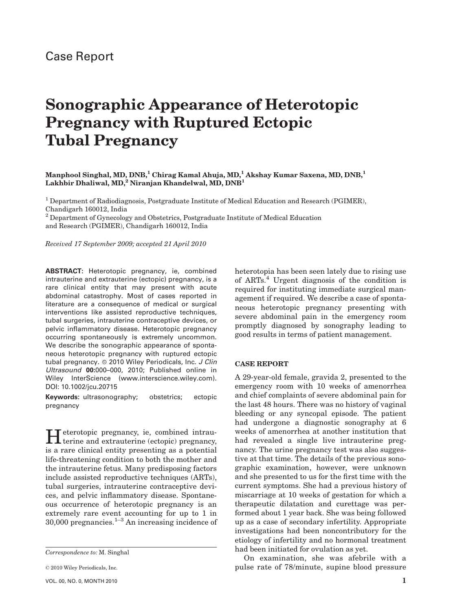## Sonographic Appearance of Heterotopic Pregnancy with Ruptured Ectopic Tubal Pregnancy

Manphool Singhal, MD, DNB,<sup>1</sup> Chirag Kamal Ahuja, MD,<sup>1</sup> Akshay Kumar Saxena, MD, DNB,<sup>1</sup> Lakhbir Dhaliwal, MD,<sup>2</sup> Niranjan Khandelwal, MD,  $DNB<sup>1</sup>$ 

<sup>1</sup> Department of Radiodiagnosis, Postgraduate Institute of Medical Education and Research (PGIMER), Chandigarh 160012, India

<sup>2</sup> Department of Gynecology and Obstetrics, Postgraduate Institute of Medical Education and Research (PGIMER), Chandigarh 160012, India

Received 17 September 2009; accepted 21 April 2010

ABSTRACT: Heterotopic pregnancy, ie, combined intrauterine and extrauterine (ectopic) pregnancy, is a rare clinical entity that may present with acute abdominal catastrophy. Most of cases reported in literature are a consequence of medical or surgical interventions like assisted reproductive techniques, tubal surgeries, intrauterine contraceptive devices, or pelvic inflammatory disease. Heterotopic pregnancy occurring spontaneously is extremely uncommon. We describe the sonographic appearance of spontaneous heterotopic pregnancy with ruptured ectopic tubal pregnancy. @ 2010 Wiley Periodicals, Inc. J Clin Ultrasound 00:000–000, 2010; Published online in Wiley InterScience (www.interscience.wiley.com). DOI: 10.1002/jcu.20715

Keywords: ultrasonography; obstetrics; ectopic pregnancy

Heterotopic pregnancy, ie, combined intrau-terine and extrauterine (ectopic) pregnancy, is a rare clinical entity presenting as a potential life-threatening condition to both the mother and the intrauterine fetus. Many predisposing factors include assisted reproductive techniques (ARTs), tubal surgeries, intrauterine contraceptive devices, and pelvic inflammatory disease. Spontaneous occurrence of heterotopic pregnancy is an extremely rare event accounting for up to 1 in  $30,000$  pregnancies.<sup>1–3</sup> An increasing incidence of

heterotopia has been seen lately due to rising use of ARTs.<sup>4</sup> Urgent diagnosis of the condition is required for instituting immediate surgical management if required. We describe a case of spontaneous heterotopic pregnancy presenting with severe abdominal pain in the emergency room promptly diagnosed by sonography leading to good results in terms of patient management.

## CASE REPORT

A 29-year-old female, gravida 2, presented to the emergency room with 10 weeks of amenorrhea and chief complaints of severe abdominal pain for the last 48 hours. There was no history of vaginal bleeding or any syncopal episode. The patient had undergone a diagnostic sonography at 6 weeks of amenorrhea at another institution that had revealed a single live intrauterine pregnancy. The urine pregnancy test was also suggestive at that time. The details of the previous sonographic examination, however, were unknown and she presented to us for the first time with the current symptoms. She had a previous history of miscarriage at 10 weeks of gestation for which a therapeutic dilatation and curettage was performed about 1 year back. She was being followed up as a case of secondary infertility. Appropriate investigations had been noncontributory for the etiology of infertility and no hormonal treatment had been initiated for ovulation as yet.

On examination, she was afebrile with a pulse rate of 78/minute, supine blood pressure

Correspondence to: M. Singhal

 $© 2010 Wiley Periodicals, Inc.$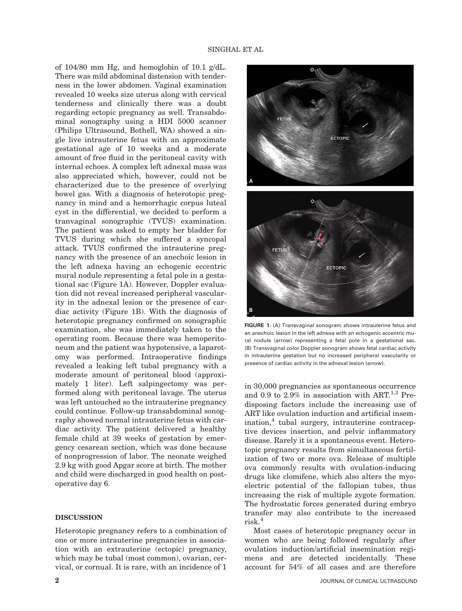of 104/80 mm Hg, and hemoglobin of 10.1 g/dL. There was mild abdominal distension with tenderness in the lower abdomen. Vaginal examination revealed 10 weeks size uterus along with cervical tenderness and clinically there was a doubt regarding ectopic pregnancy as well. Transabdominal sonography using a HDI 5000 scanner (Philips Ultrasound, Bothell, WA) showed a single live intrauterine fetus with an approximate gestational age of 10 weeks and a moderate amount of free fluid in the peritoneal cavity with internal echoes. A complex left adnexal mass was also appreciated which, however, could not be characterized due to the presence of overlying bowel gas. With a diagnosis of heterotopic pregnancy in mind and a hemorrhagic corpus luteal cyst in the differential, we decided to perform a tranvaginal sonographic (TVUS) examination. The patient was asked to empty her bladder for TVUS during which she suffered a syncopal attack. TVUS confirmed the intrauterine pregnancy with the presence of an anechoic lesion in the left adnexa having an echogenic eccentric mural nodule representing a fetal pole in a gestational sac (Figure 1A). However, Doppler evaluation did not reveal increased peripheral vascularity in the adnexal lesion or the presence of cardiac activity (Figure 1B). With the diagnosis of heterotopic pregnancy confirmed on sonographic examination, she was immediately taken to the operating room. Because there was hemoperitoneum and the patient was hypotensive, a laparotomy was performed. Intraoperative findings revealed a leaking left tubal pregnancy with a moderate amount of peritoneal blood (approximately 1 liter). Left salpingectomy was performed along with peritoneal lavage. The uterus was left untouched so the intrauterine pregnancy could continue. Follow-up transabdominal sonography showed normal intrauterine fetus with cardiac activity. The patient delivered a healthy female child at 39 weeks of gestation by emergency cesarean section, which was done because of nonprogression of labor. The neonate weighed 2.9 kg with good Apgar score at birth. The mother and child were discharged in good health on postoperative day 6.

## DISCUSSION

Heterotopic pregnancy refers to a combination of one or more intrauterine pregnancies in association with an extrauterine (ectopic) pregnancy, which may be tubal (most common), ovarian, cervical, or cornual. It is rare, with an incidence of 1





FIGURE 1. (A) Transvaginal sonogram shows intrauterine fetus and an anechoic lesion in the left adnexa with an echogenic eccentric mural nodule (arrow) representing a fetal pole in a gestational sac. (B) Transvaginal color Doppler sonogram shows fetal cardiac activity in intrauterine gestation but no increased peripheral vascularity or presence of cardiac activity in the adnexal lesion (arrow).

in 30,000 pregnancies as spontaneous occurrence and 0.9 to 2.9% in association with ART.<sup>1,3</sup> Predisposing factors include the increasing use of ART like ovulation induction and artificial insem $ination<sup>4</sup>$  tubal surgery, intrauterine contraceptive devices insertion, and pelvic inflammatory disease. Rarely it is a spontaneous event. Heterotopic pregnancy results from simultaneous fertilization of two or more ova. Release of multiple ova commonly results with ovulation-inducing drugs like clomifene, which also alters the myoelectric potential of the fallopian tubes, thus increasing the risk of multiple zygote formation. The hydrostatic forces generated during embryo transfer may also contribute to the increased risk.<sup>4</sup>

Most cases of heterotopic pregnancy occur in women who are being followed regularly after ovulation induction/artificial insemination regimens and are detected incidentally. These account for 54% of all cases and are therefore